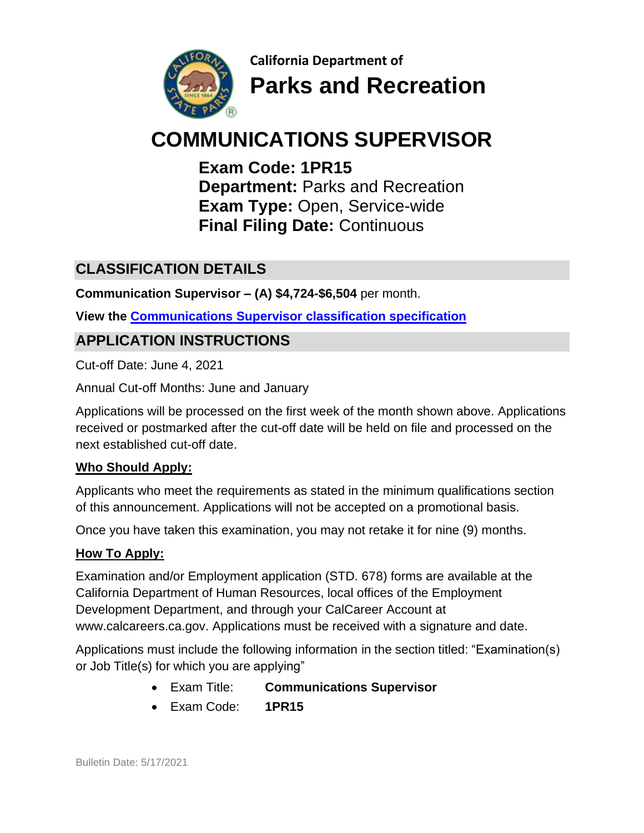

**California Department of Parks and Recreation**

# **COMMUNICATIONS SUPERVISOR**

**Exam Code: 1PR15 Department:** Parks and Recreation **Exam Type:** Open, Service-wide **Final Filing Date:** Continuous

# **CLASSIFICATION DETAILS**

**Communication Supervisor – (A) \$4,724-\$6,504** per month.

**View the [Communications Supervisor classification specification](https://www.calhr.ca.gov/state-hr-professionals/pages/1670.aspx)**

# **APPLICATION INSTRUCTIONS**

Cut-off Date: June 4, 2021

Annual Cut-off Months: June and January

Applications will be processed on the first week of the month shown above. Applications received or postmarked after the cut-off date will be held on file and processed on the next established cut-off date.

## **Who Should Apply:**

Applicants who meet the requirements as stated in the minimum qualifications section of this announcement. Applications will not be accepted on a promotional basis.

Once you have taken this examination, you may not retake it for nine (9) months.

# **How To Apply:**

Examination and/or Employment application (STD. 678) forms are available at the California Department of Human Resources, local offices of the Employment Development Department, and through your CalCareer Account at www.calcareers.ca.gov. Applications must be received with a signature and date.

Applications must include the following information in the section titled: "Examination(s) or Job Title(s) for which you are applying"

- Exam Title: **Communications Supervisor**
- Exam Code: **1PR15**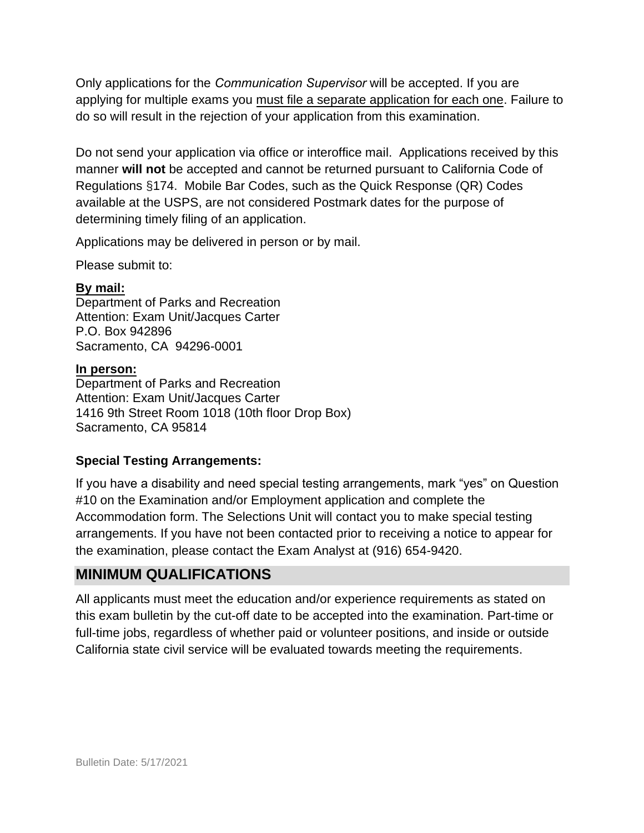Only applications for the *Communication Supervisor* will be accepted. If you are applying for multiple exams you must file a separate application for each one. Failure to do so will result in the rejection of your application from this examination.

Do not send your application via office or interoffice mail. Applications received by this manner **will not** be accepted and cannot be returned pursuant to California Code of Regulations §174. Mobile Bar Codes, such as the Quick Response (QR) Codes available at the USPS, are not considered Postmark dates for the purpose of determining timely filing of an application.

Applications may be delivered in person or by mail.

Please submit to:

### **By mail:**

Department of Parks and Recreation Attention: Exam Unit/Jacques Carter P.O. Box 942896 Sacramento, CA 94296-0001

### **In person:**

Department of Parks and Recreation Attention: Exam Unit/Jacques Carter 1416 9th Street Room 1018 (10th floor Drop Box) Sacramento, CA 95814

### **Special Testing Arrangements:**

If you have a disability and need special testing arrangements, mark "yes" on Question #10 on the Examination and/or Employment application and complete the Accommodation form. The Selections Unit will contact you to make special testing arrangements. If you have not been contacted prior to receiving a notice to appear for the examination, please contact the Exam Analyst at (916) 654-9420.

## **MINIMUM QUALIFICATIONS**

All applicants must meet the education and/or experience requirements as stated on this exam bulletin by the cut-off date to be accepted into the examination. Part-time or full-time jobs, regardless of whether paid or volunteer positions, and inside or outside California state civil service will be evaluated towards meeting the requirements.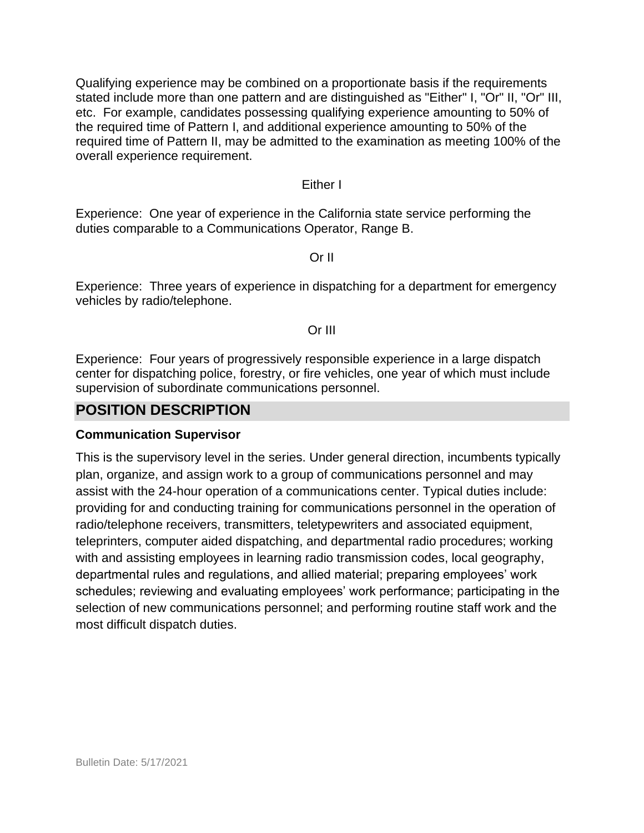Qualifying experience may be combined on a proportionate basis if the requirements stated include more than one pattern and are distinguished as "Either" I, "Or" II, "Or" III, etc. For example, candidates possessing qualifying experience amounting to 50% of the required time of Pattern I, and additional experience amounting to 50% of the required time of Pattern II, may be admitted to the examination as meeting 100% of the overall experience requirement.

#### Either I

Experience: One year of experience in the California state service performing the duties comparable to a Communications Operator, Range B.

#### Or II

Experience: Three years of experience in dispatching for a department for emergency vehicles by radio/telephone.

#### Or III

Experience: Four years of progressively responsible experience in a large dispatch center for dispatching police, forestry, or fire vehicles, one year of which must include supervision of subordinate communications personnel.

#### **POSITION DESCRIPTION**

#### **Communication Supervisor**

This is the supervisory level in the series. Under general direction, incumbents typically plan, organize, and assign work to a group of communications personnel and may assist with the 24-hour operation of a communications center. Typical duties include: providing for and conducting training for communications personnel in the operation of radio/telephone receivers, transmitters, teletypewriters and associated equipment, teleprinters, computer aided dispatching, and departmental radio procedures; working with and assisting employees in learning radio transmission codes, local geography, departmental rules and regulations, and allied material; preparing employees' work schedules; reviewing and evaluating employees' work performance; participating in the selection of new communications personnel; and performing routine staff work and the most difficult dispatch duties.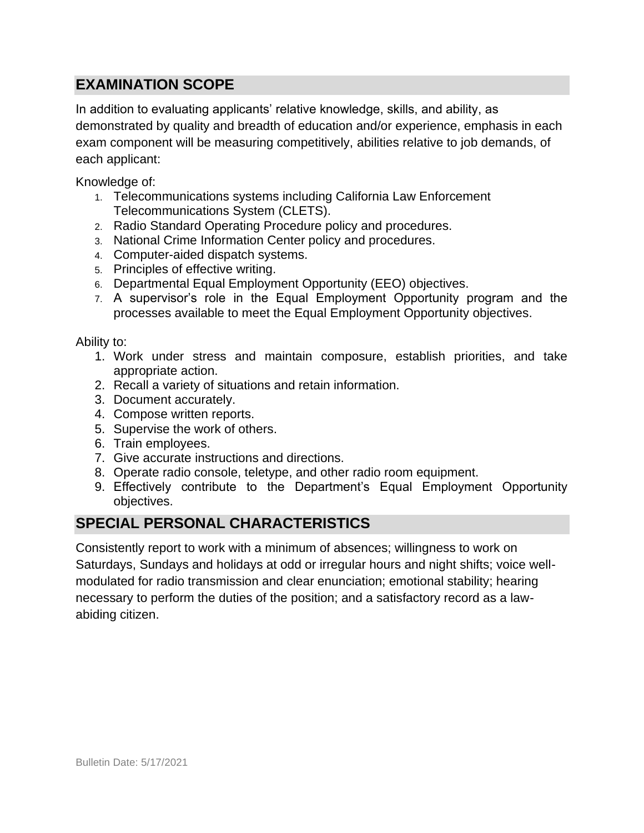# **EXAMINATION SCOPE**

In addition to evaluating applicants' relative knowledge, skills, and ability, as demonstrated by quality and breadth of education and/or experience, emphasis in each exam component will be measuring competitively, abilities relative to job demands, of each applicant:

Knowledge of:

- 1. Telecommunications systems including California Law Enforcement Telecommunications System (CLETS).
- 2. Radio Standard Operating Procedure policy and procedures.
- 3. National Crime Information Center policy and procedures.
- 4. Computer-aided dispatch systems.
- 5. Principles of effective writing.
- 6. Departmental Equal Employment Opportunity (EEO) objectives.
- 7. A supervisor's role in the Equal Employment Opportunity program and the processes available to meet the Equal Employment Opportunity objectives.

Ability to:

- 1. Work under stress and maintain composure, establish priorities, and take appropriate action.
- 2. Recall a variety of situations and retain information.
- 3. Document accurately.
- 4. Compose written reports.
- 5. Supervise the work of others.
- 6. Train employees.
- 7. Give accurate instructions and directions.
- 8. Operate radio console, teletype, and other radio room equipment.
- 9. Effectively contribute to the Department's Equal Employment Opportunity objectives.

# **SPECIAL PERSONAL CHARACTERISTICS**

Consistently report to work with a minimum of absences; willingness to work on Saturdays, Sundays and holidays at odd or irregular hours and night shifts; voice wellmodulated for radio transmission and clear enunciation; emotional stability; hearing necessary to perform the duties of the position; and a satisfactory record as a lawabiding citizen.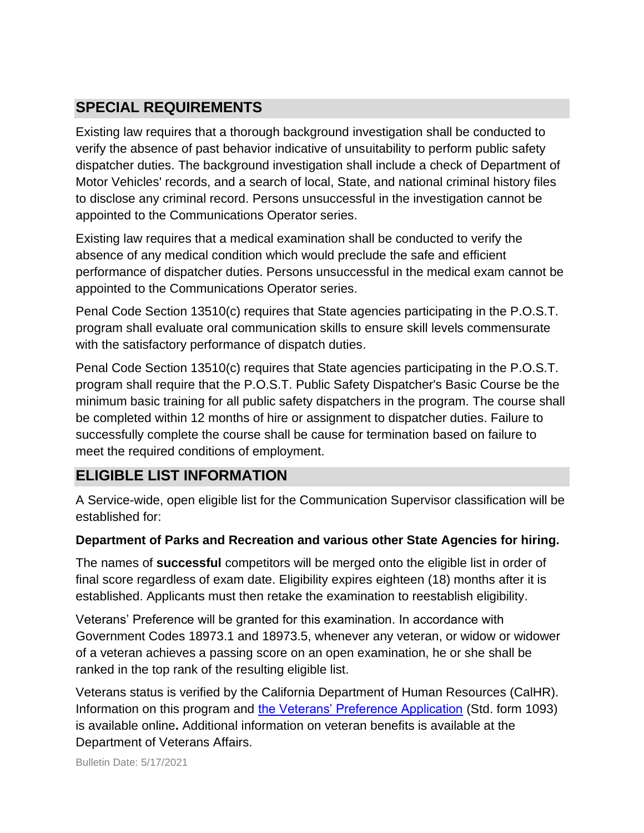# **SPECIAL REQUIREMENTS**

Existing law requires that a thorough background investigation shall be conducted to verify the absence of past behavior indicative of unsuitability to perform public safety dispatcher duties. The background investigation shall include a check of Department of Motor Vehicles' records, and a search of local, State, and national criminal history files to disclose any criminal record. Persons unsuccessful in the investigation cannot be appointed to the Communications Operator series.

Existing law requires that a medical examination shall be conducted to verify the absence of any medical condition which would preclude the safe and efficient performance of dispatcher duties. Persons unsuccessful in the medical exam cannot be appointed to the Communications Operator series.

Penal Code Section 13510(c) requires that State agencies participating in the P.O.S.T. program shall evaluate oral communication skills to ensure skill levels commensurate with the satisfactory performance of dispatch duties.

Penal Code Section 13510(c) requires that State agencies participating in the P.O.S.T. program shall require that the P.O.S.T. Public Safety Dispatcher's Basic Course be the minimum basic training for all public safety dispatchers in the program. The course shall be completed within 12 months of hire or assignment to dispatcher duties. Failure to successfully complete the course shall be cause for termination based on failure to meet the required conditions of employment.

# **ELIGIBLE LIST INFORMATION**

A Service-wide, open eligible list for the Communication Supervisor classification will be established for:

### **Department of Parks and Recreation and various other State Agencies for hiring.**

The names of **successful** competitors will be merged onto the eligible list in order of final score regardless of exam date. Eligibility expires eighteen (18) months after it is established. Applicants must then retake the examination to reestablish eligibility.

Veterans' Preference will be granted for this examination. In accordance with Government Codes 18973.1 and 18973.5, whenever any veteran, or widow or widower of a veteran achieves a passing score on an open examination, he or she shall be ranked in the top rank of the resulting eligible list.

Veterans status is verified by the California Department of Human Resources (CalHR). Information on this program and [the Veterans' Preference Application](https://www.jobs.ca.gov/CalHRPublic/Landing/Jobs/VeteransInformation.aspx) (Std. form 1093) is available online**.** Additional information on veteran benefits is available at the Department of Veterans Affairs.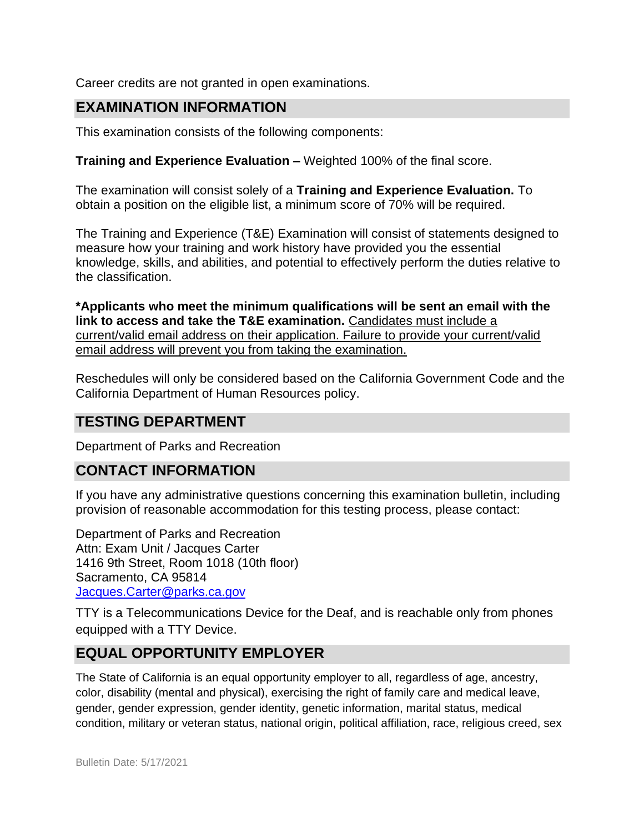Career credits are not granted in open examinations.

### **EXAMINATION INFORMATION**

This examination consists of the following components:

#### **Training and Experience Evaluation –** Weighted 100% of the final score.

The examination will consist solely of a **Training and Experience Evaluation.** To obtain a position on the eligible list, a minimum score of 70% will be required.

The Training and Experience (T&E) Examination will consist of statements designed to measure how your training and work history have provided you the essential knowledge, skills, and abilities, and potential to effectively perform the duties relative to the classification.

**\*Applicants who meet the minimum qualifications will be sent an email with the link to access and take the T&E examination.** Candidates must include a current/valid email address on their application. Failure to provide your current/valid email address will prevent you from taking the examination.

Reschedules will only be considered based on the California Government Code and the California Department of Human Resources policy.

### **TESTING DEPARTMENT**

Department of Parks and Recreation

### **CONTACT INFORMATION**

If you have any administrative questions concerning this examination bulletin, including provision of reasonable accommodation for this testing process, please contact:

Department of Parks and Recreation Attn: Exam Unit / Jacques Carter 1416 9th Street, Room 1018 (10th floor) Sacramento, CA 95814 [Jacques.Carter@parks.ca.gov](mailto:Jacques.Carter@parks.ca.gov)

TTY is a Telecommunications Device for the Deaf, and is reachable only from phones equipped with a TTY Device.

## **EQUAL OPPORTUNITY EMPLOYER**

The State of California is an equal opportunity employer to all, regardless of age, ancestry, color, disability (mental and physical), exercising the right of family care and medical leave, gender, gender expression, gender identity, genetic information, marital status, medical condition, military or veteran status, national origin, political affiliation, race, religious creed, sex